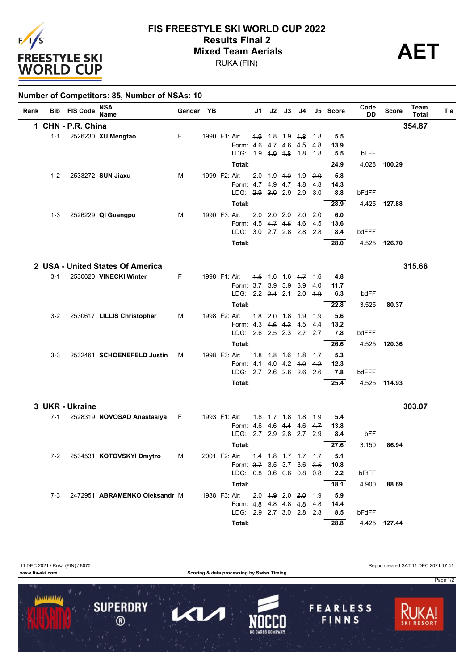

## **FIS FREESTYLE SKI WORLD CUP 2022 Results Final 2**<br> **Mixed Team Aerials**<br>
PUKA (FIN)

RUKA (FIN)

| Rank | Bib     | <b>FIS Code</b>    | <b>NSA</b><br><b>Name</b>        | Gender YB |                                   |     |  | J1 J2 J3 J4             |            | J5 Score | Code<br>DD | <b>Score</b> | Team<br>Total | Tie |
|------|---------|--------------------|----------------------------------|-----------|-----------------------------------|-----|--|-------------------------|------------|----------|------------|--------------|---------------|-----|
|      |         | 1 CHN - P.R. China |                                  |           |                                   |     |  |                         |            |          |            |              | 354.87        |     |
|      | $1 - 1$ |                    | 2526230 XU Mengtao               | F         | 1990 F1: Air:                     |     |  | 4.9 1.8 1.9 4.8 1.8     |            | 5.5      |            |              |               |     |
|      |         |                    |                                  |           | Form: 4.6 4.7 4.6 4.5 4.8         |     |  |                         |            | 13.9     |            |              |               |     |
|      |         |                    |                                  |           | LDG: 19 4.9 4.8 18 18             |     |  |                         |            | 5.5      | bLFF       |              |               |     |
|      |         |                    |                                  |           | Total:                            |     |  |                         |            | 24.9     | 4.028      | 100.29       |               |     |
|      | $1 - 2$ |                    | 2533272 SUN Jiaxu                | M         | 1999 F2: Air:                     |     |  | $2.0$ 1.9 4.9 1.9       | 2.0        | 5.8      |            |              |               |     |
|      |         |                    |                                  |           | Form: 4.7 4.9 4.7 4.8             |     |  |                         | 4.8        | 14.3     |            |              |               |     |
|      |         |                    |                                  |           | LDG: 2.9 3.0 2.9 2.9 3.0          |     |  |                         |            | 8.8      | bFdFF      |              |               |     |
|      |         |                    |                                  |           | Total:                            |     |  |                         |            | 28.9     | 4.425      | 127.88       |               |     |
|      | 1-3     |                    | 2526229 QI Guangpu               | M         | 1990 F3: Air:                     |     |  | $2.0$ $2.0$ $2.0$ $2.0$ | $-2.0$     | 6.0      |            |              |               |     |
|      |         |                    |                                  |           | Form: 4.5 4.7 4.5 4.6             |     |  |                         | 4.5        | 13.6     |            |              |               |     |
|      |         |                    |                                  |           | LDG: 3.0 2.7 2.8 2.8 2.8          |     |  |                         |            | 8.4      | bdFFF      |              |               |     |
|      |         |                    |                                  |           | Total:                            |     |  |                         |            | 28.0     |            | 4.525 126.70 |               |     |
|      |         |                    | 2 USA - United States Of America |           |                                   |     |  |                         |            |          |            |              | 315.66        |     |
|      | $3 - 1$ |                    | 2530620 VINECKI Winter           | F.        | 1998 F1: Air:                     |     |  | $1.5$ 1.6 1.6 $1.7$ 1.6 |            | 4.8      |            |              |               |     |
|      |         |                    |                                  |           | Form: 3.7 3.9 3.9 3.9             |     |  |                         | 4.0        | 11.7     |            |              |               |     |
|      |         |                    |                                  |           | LDG: 2.2 2.4 2.1 2.0 4.9          |     |  |                         |            | 6.3      | bdFF       |              |               |     |
|      |         |                    |                                  |           | Total:                            |     |  |                         |            | 22.8     | 3.525      | 80.37        |               |     |
|      | $3-2$   |                    | 2530617 LILLIS Christopher       | М         | 1998 F2: Air:                     |     |  | $4.8$ $2.0$ 1.8 1.9     | 1.9        | 5.6      |            |              |               |     |
|      |         |                    |                                  |           | Form: 4.3 4.6 4.2 4.5             |     |  |                         | 4.4        | 13.2     |            |              |               |     |
|      |         |                    |                                  |           | LDG: 2.6 2.5 <del>2.3</del> 2.7   |     |  |                         | 2.7        | 7.8      | bdFFF      |              |               |     |
|      |         |                    |                                  |           | Total:                            |     |  |                         |            | 26.6     | 4.525      | 120.36       |               |     |
|      | $3-3$   |                    | 2532461 SCHOENEFELD Justin       | м         | 1998 F3: Air:                     | 1.8 |  | 1.8 4.6 4.8 1.7         |            | 5.3      |            |              |               |     |
|      |         |                    |                                  |           | Form: 4.1                         |     |  | $4.0$ 4.2 4.0           | 4.2        | 12.3     |            |              |               |     |
|      |         |                    |                                  |           | LDG: 2.7 2.6 2.6 2.6 2.6          |     |  |                         |            | 7.8      | bdFFF      |              |               |     |
|      |         |                    |                                  |           | Total:                            |     |  |                         |            | 25.4     | 4.525      | 114.93       |               |     |
|      |         | 3 UKR - Ukraine    |                                  |           |                                   |     |  |                         |            |          |            |              | 303.07        |     |
|      | $7-1$   |                    | 2528319 NOVOSAD Anastasiya       | F.        | 1993 F1: Air:                     |     |  | $1.8$ $1.7$ $1.8$ $1.8$ | <u>4.9</u> | 5.4      |            |              |               |     |
|      |         |                    |                                  |           | Form: 4.6 4.6 4.4 4.6             |     |  |                         | 4.7        | 13.8     |            |              |               |     |
|      |         |                    |                                  |           | LDG: 2.7 2.9 2.8 2.7 2.9          |     |  |                         |            | 8.4      | bFF        |              |               |     |
|      |         |                    |                                  |           | Total:                            |     |  |                         |            | 27.6     | 3.150      | 86.94        |               |     |
|      |         |                    | 7-2 2534531 KOTOVSKYI Dmytro     | <b>M</b>  | 2001 F2: Air: 4.4 4.8 1.7 1.7 1.7 |     |  |                         |            | 5.1      |            |              |               |     |
|      |         |                    |                                  |           | Form: 3.7 3.5 3.7 3.6 3.5         |     |  |                         |            | 10.8     |            |              |               |     |
|      |         |                    |                                  |           | LDG: 0.8 0.6 0.6 0.8 0.8          |     |  |                         |            | 2.2      | bFtFF      |              |               |     |
|      |         |                    |                                  |           | Total:                            |     |  |                         |            | 18.1     | 4.900      | 88.69        |               |     |
|      | 7-3     |                    | 2472951 ABRAMENKO Oleksandr M    |           | 1988 F3: Air: 2.0 4.9 2.0 2.0 1.9 |     |  |                         |            | 5.9      |            |              |               |     |
|      |         |                    |                                  |           | Form: 4.8 4.8 4.8 4.8 4.8         |     |  |                         |            | 14.4     |            |              |               |     |
|      |         |                    |                                  |           | LDG: 2.9 2.7 3.0 2.8 2.8          |     |  |                         |            | 8.5      | bFdFF      |              |               |     |
|      |         |                    |                                  |           | Total:                            |     |  |                         |            | 28.8     |            | 4.425 127.44 |               |     |

11 DEC 2021 / Ruka (FIN) / 8070<br> **11 DEC 2021 17:41** Report created SAT 11 DEC 2021 17:41<br> **11 DEC 2021 17:41** Scoring & data processing by Swiss Timing **Scoring & data processing by Swiss Timing** Page 1/2 1111111111 **SUPERDRY FEARLESS** П KL, FINNS  $\circledR$